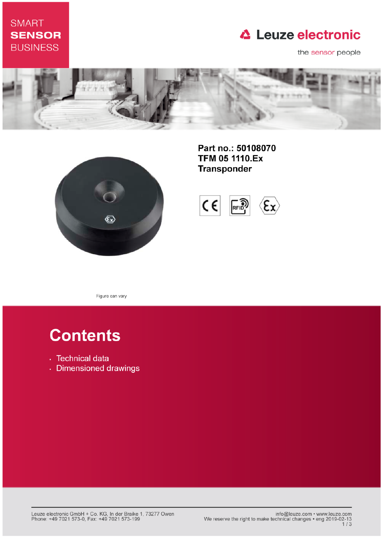## **SMART SENSOR BUSINESS**

## **△ Leuze electronic**

the sensor people





Part no.: 50108070 **TFM 05 1110.Ex Transponder** 



Figure can vary

# **Contents**

- · Technical data
- · Dimensioned drawings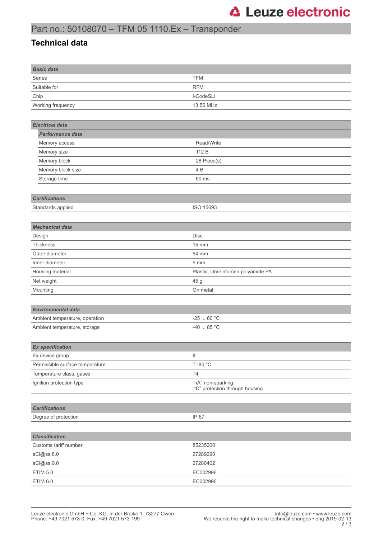### Part no.: 50108070 – TFM 05 1110.Ex – Transponder

#### **Technical data**

| <b>Basic data</b>               |                                                      |
|---------------------------------|------------------------------------------------------|
| Series                          | <b>TFM</b>                                           |
| Suitable for                    | <b>RFM</b>                                           |
| Chip                            | I-CodeSLI                                            |
| Working frequency               | 13.56 MHz                                            |
|                                 |                                                      |
| <b>Electrical data</b>          |                                                      |
| Performance data                |                                                      |
| Memory access                   | Read/Write                                           |
| Memory size                     | 112 B                                                |
| Memory block                    | 28 Piece(s)                                          |
| Memory block size               | 4 B                                                  |
| Storage time                    | 50 ms                                                |
|                                 |                                                      |
| <b>Certifications</b>           |                                                      |
| Standards applied               | ISO 15693                                            |
|                                 |                                                      |
| <b>Mechanical data</b>          |                                                      |
| Design                          | <b>Disc</b>                                          |
| Thickness                       | 15 mm                                                |
| Outer diameter                  | 54 mm                                                |
| Inner diameter                  | 5 mm                                                 |
| Housing material                | Plastic, Unreinforced polyamide PA                   |
| Net weight                      | 45 g                                                 |
| Mounting                        | On metal                                             |
|                                 |                                                      |
| <b>Environmental data</b>       |                                                      |
| Ambient temperature, operation  | $-2560 °C$                                           |
| Ambient temperature, storage    | $-4085 °C$                                           |
|                                 |                                                      |
| <b>Ex specification</b>         |                                                      |
| Ex device group                 | Ш                                                    |
| Permissible surface temperature | T=80 °C                                              |
| Temperature class, gases        | T4                                                   |
| Ignition protection type        | "nA" non-sparking<br>"tD" protection through housing |
|                                 |                                                      |
| <b>Certifications</b>           |                                                      |
| Degree of protection            | IP 67                                                |
|                                 |                                                      |
| <b>Classification</b>           |                                                      |
| Customs tariff number           | 85235200                                             |
| eCl@ss 8.0                      | 27289290                                             |
| eCl@ss 9.0                      | 27280402                                             |
| <b>ETIM 5.0</b>                 | EC002996                                             |
| ETIM 6.0                        | EC002996                                             |
|                                 |                                                      |